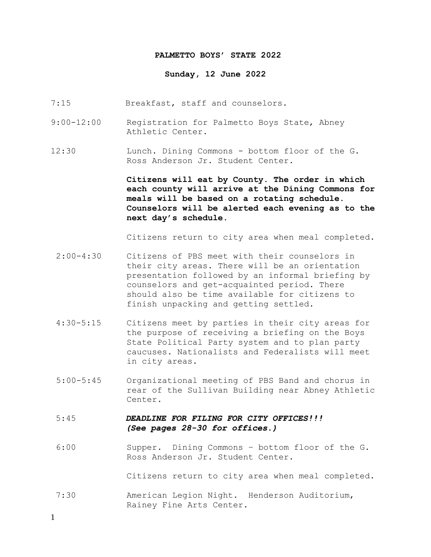### **PALMETTO BOYS' STATE 2022**

### **Sunday, 12 June 2022**

- 7:15 Breakfast, staff and counselors.
- 9:00-12:00 Registration for Palmetto Boys State, Abney Athletic Center.
- 12:30 Lunch. Dining Commons bottom floor of the G. Ross Anderson Jr. Student Center.

**Citizens will eat by County. The order in which each county will arrive at the Dining Commons for meals will be based on a rotating schedule. Counselors will be alerted each evening as to the next day's schedule.**

Citizens return to city area when meal completed.

- 2:00-4:30 Citizens of PBS meet with their counselors in their city areas. There will be an orientation presentation followed by an informal briefing by counselors and get-acquainted period. There should also be time available for citizens to finish unpacking and getting settled.
- 4:30-5:15 Citizens meet by parties in their city areas for the purpose of receiving a briefing on the Boys State Political Party system and to plan party caucuses. Nationalists and Federalists will meet in city areas.
- 5:00-5:45 Organizational meeting of PBS Band and chorus in rear of the Sullivan Building near Abney Athletic Center.
- 5:45 *DEADLINE FOR FILING FOR CITY OFFICES!!! (See pages 28-30 for offices.)*
- 6:00 Supper. Dining Commons bottom floor of the G. Ross Anderson Jr. Student Center.

Citizens return to city area when meal completed.

7:30 American Legion Night. Henderson Auditorium, Rainey Fine Arts Center.

1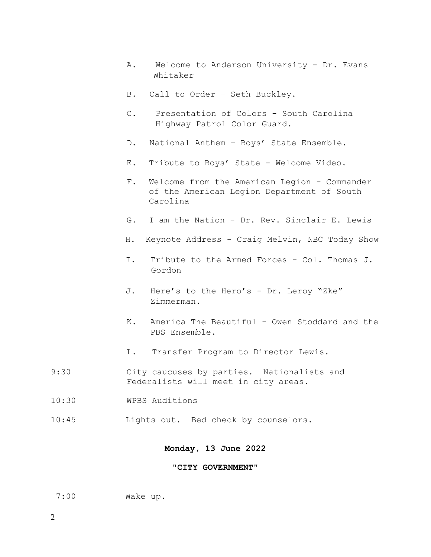- A. Welcome to Anderson University Dr. Evans Whitaker
- B. Call to Order Seth Buckley.
- C. Presentation of Colors South Carolina Highway Patrol Color Guard.
- D. National Anthem Boys' State Ensemble.
- E. Tribute to Boys' State Welcome Video.
- F. Welcome from the American Legion Commander of the American Legion Department of South Carolina
- G. I am the Nation Dr. Rev. Sinclair E. Lewis
- H. Keynote Address Craig Melvin, NBC Today Show
- I. Tribute to the Armed Forces Col. Thomas J. Gordon
- J. Here's to the Hero's Dr. Leroy "Zke" Zimmerman.
- K. America The Beautiful Owen Stoddard and the PBS Ensemble.
- L. Transfer Program to Director Lewis.
- 9:30 City caucuses by parties. Nationalists and Federalists will meet in city areas.
- 10:30 WPBS Auditions
- 10:45 Lights out. Bed check by counselors.

## **Monday, 13 June 2022**

#### **"CITY GOVERNMENT"**

7:00 Wake up.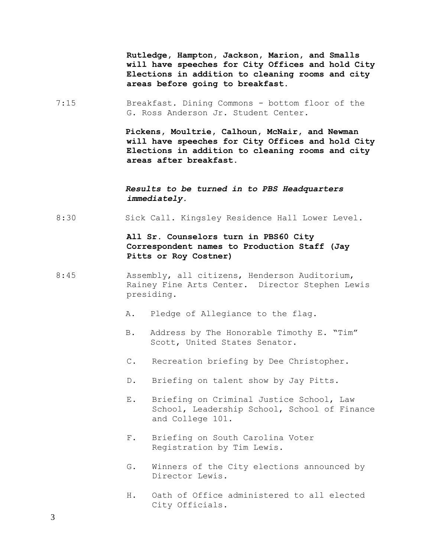**Rutledge, Hampton, Jackson, Marion, and Smalls will have speeches for City Offices and hold City Elections in addition to cleaning rooms and city areas before going to breakfast.**

7:15 Breakfast. Dining Commons - bottom floor of the G. Ross Anderson Jr. Student Center.

> **Pickens, Moultrie, Calhoun, McNair, and Newman will have speeches for City Offices and hold City Elections in addition to cleaning rooms and city areas after breakfast.**

## *Results to be turned in to PBS Headquarters immediately.*

8:30 Sick Call. Kingsley Residence Hall Lower Level.

## **All Sr. Counselors turn in PBS60 City Correspondent names to Production Staff (Jay Pitts or Roy Costner)**

- 8:45 Assembly, all citizens, Henderson Auditorium, Rainey Fine Arts Center. Director Stephen Lewis presiding.
	- A. Pledge of Allegiance to the flag.
	- B. Address by The Honorable Timothy E. "Tim" Scott, United States Senator.
	- C. Recreation briefing by Dee Christopher.
	- D. Briefing on talent show by Jay Pitts.
	- E. Briefing on Criminal Justice School, Law School, Leadership School, School of Finance and College 101.
	- F. Briefing on South Carolina Voter Registration by Tim Lewis.
	- G. Winners of the City elections announced by Director Lewis.
	- H. Oath of Office administered to all elected City Officials.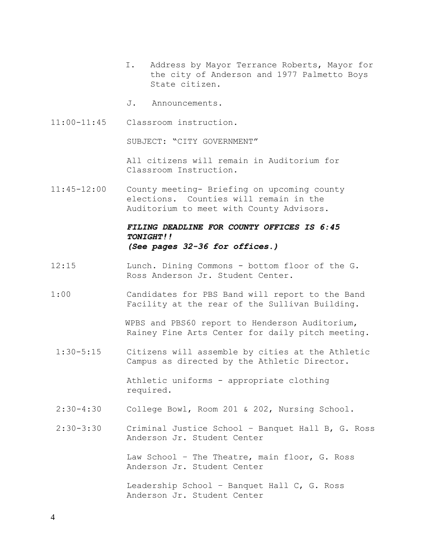- I. Address by Mayor Terrance Roberts, Mayor for the city of Anderson and 1977 Palmetto Boys State citizen.
- J. Announcements.
- 11:00-11:45 Classroom instruction.

SUBJECT: "CITY GOVERNMENT"

All citizens will remain in Auditorium for Classroom Instruction.

11:45-12:00 County meeting- Briefing on upcoming county elections. Counties will remain in the Auditorium to meet with County Advisors.

## *FILING DEADLINE FOR COUNTY OFFICES IS 6:45 TONIGHT!! (See pages 32-36 for offices.)*

- 12:15 Lunch. Dining Commons bottom floor of the G. Ross Anderson Jr. Student Center.
- 1:00 Candidates for PBS Band will report to the Band Facility at the rear of the Sullivan Building.

WPBS and PBS60 report to Henderson Auditorium, Rainey Fine Arts Center for daily pitch meeting.

1:30-5:15 Citizens will assemble by cities at the Athletic Campus as directed by the Athletic Director.

> Athletic uniforms - appropriate clothing required.

- 2:30-4:30 College Bowl, Room 201 & 202, Nursing School.
- 2:30-3:30 Criminal Justice School Banquet Hall B, G. Ross Anderson Jr. Student Center

Law School – The Theatre, main floor, G. Ross Anderson Jr. Student Center

Leadership School – Banquet Hall C, G. Ross Anderson Jr. Student Center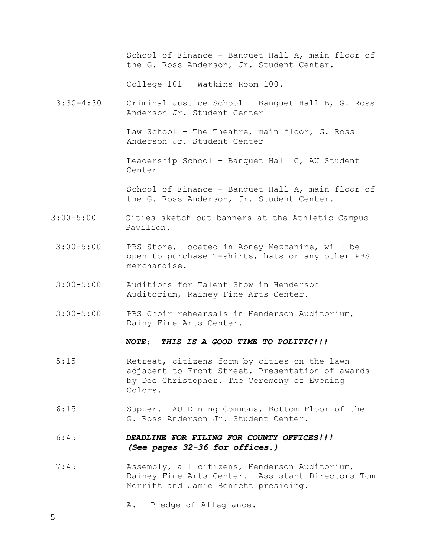School of Finance - Banquet Hall A, main floor of the G. Ross Anderson, Jr. Student Center. College 101 – Watkins Room 100. 3:30-4:30 Criminal Justice School – Banquet Hall B, G. Ross Anderson Jr. Student Center Law School – The Theatre, main floor, G. Ross Anderson Jr. Student Center Leadership School – Banquet Hall C, AU Student Center School of Finance - Banquet Hall A, main floor of the G. Ross Anderson, Jr. Student Center. 3:00-5:00 Cities sketch out banners at the Athletic Campus Pavilion. 3:00-5:00 PBS Store, located in Abney Mezzanine, will be open to purchase T-shirts, hats or any other PBS merchandise.

- 3:00-5:00 Auditions for Talent Show in Henderson Auditorium, Rainey Fine Arts Center.
- 3:00-5:00 PBS Choir rehearsals in Henderson Auditorium, Rainy Fine Arts Center.

### *NOTE: THIS IS A GOOD TIME TO POLITIC!!!*

- 5:15 Retreat, citizens form by cities on the lawn adjacent to Front Street. Presentation of awards by Dee Christopher. The Ceremony of Evening Colors.
- 6:15 Supper. AU Dining Commons, Bottom Floor of the G. Ross Anderson Jr. Student Center.

# 6:45 *DEADLINE FOR FILING FOR COUNTY OFFICES!!! (See pages 32-36 for offices.)*

7:45 Assembly, all citizens, Henderson Auditorium, Rainey Fine Arts Center. Assistant Directors Tom Merritt and Jamie Bennett presiding.

A. Pledge of Allegiance.

5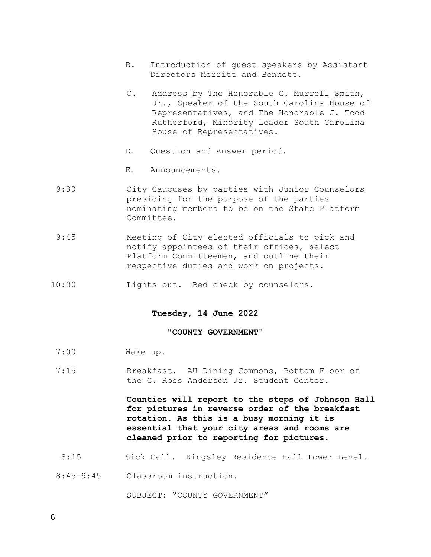- B. Introduction of guest speakers by Assistant Directors Merritt and Bennett.
- C. Address by The Honorable G. Murrell Smith, Jr., Speaker of the South Carolina House of Representatives, and The Honorable J. Todd Rutherford, Minority Leader South Carolina House of Representatives.
- D. Question and Answer period.
- E. Announcements.
- 9:30 City Caucuses by parties with Junior Counselors presiding for the purpose of the parties nominating members to be on the State Platform Committee.
- 9:45 Meeting of City elected officials to pick and notify appointees of their offices, select Platform Committeemen, and outline their respective duties and work on projects.
- 10:30 Lights out. Bed check by counselors.

#### **Tuesday, 14 June 2022**

### **"COUNTY GOVERNMENT"**

- 7:00 Wake up.
- 7:15 Breakfast. AU Dining Commons, Bottom Floor of the G. Ross Anderson Jr. Student Center.

**Counties will report to the steps of Johnson Hall for pictures in reverse order of the breakfast rotation. As this is a busy morning it is essential that your city areas and rooms are cleaned prior to reporting for pictures.** 

8:15 Sick Call. Kingsley Residence Hall Lower Level.

8:45-9:45 Classroom instruction.

SUBJECT: "COUNTY GOVERNMENT"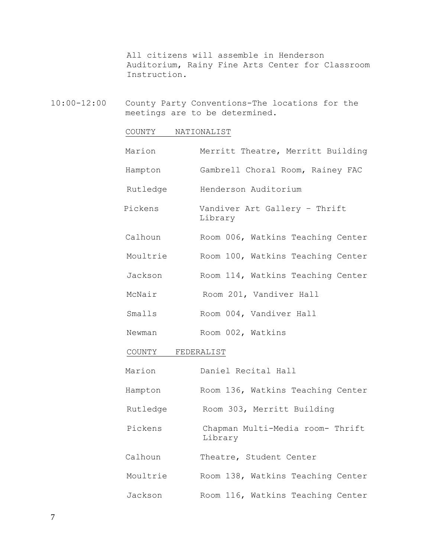All citizens will assemble in Henderson Auditorium, Rainy Fine Arts Center for Classroom Instruction.

10:00-12:00 County Party Conventions-The locations for the meetings are to be determined.

# COUNTY NATIONALIST

| Marion   | Merritt Theatre, Merritt Building           |  |  |
|----------|---------------------------------------------|--|--|
| Hampton  | Gambrell Choral Room, Rainey FAC            |  |  |
| Rutledge | Henderson Auditorium                        |  |  |
| Pickens  | Vandiver Art Gallery - Thrift<br>Library    |  |  |
| Calhoun  | Room 006, Watkins Teaching Center           |  |  |
| Moultrie | Room 100, Watkins Teaching Center           |  |  |
| Jackson  | Room 114, Watkins Teaching Center           |  |  |
| McNair   | Room 201, Vandiver Hall                     |  |  |
| Smalls   | Room 004, Vandiver Hall                     |  |  |
| Newman   | Room 002, Watkins                           |  |  |
| COUNTY   | FEDERALIST                                  |  |  |
| Marion   | Daniel Recital Hall                         |  |  |
| Hampton  | Room 136, Watkins Teaching Center           |  |  |
| Rutledge | Room 303, Merritt Building                  |  |  |
| Pickens  | Chapman Multi-Media room- Thrift<br>Library |  |  |
| Calhoun  | Theatre, Student Center                     |  |  |
| Moultrie | Room 138, Watkins Teaching Center           |  |  |
| Jackson  | Room 116, Watkins Teaching Center           |  |  |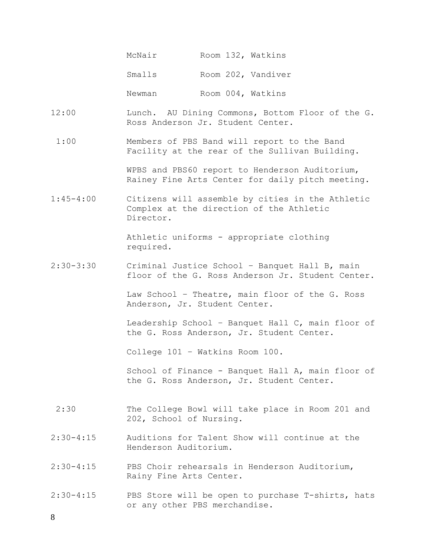| McNair |  | Room 132, Watkins  |
|--------|--|--------------------|
| Smalls |  | Room 202, Vandiver |
| Newman |  | Room 004, Watkins  |

- 12:00 Lunch. AU Dining Commons, Bottom Floor of the G. Ross Anderson Jr. Student Center.
- 1:00 Members of PBS Band will report to the Band Facility at the rear of the Sullivan Building.

WPBS and PBS60 report to Henderson Auditorium, Rainey Fine Arts Center for daily pitch meeting.

1:45-4:00 Citizens will assemble by cities in the Athletic Complex at the direction of the Athletic Director.

> Athletic uniforms - appropriate clothing required.

2:30-3:30 Criminal Justice School – Banquet Hall B, main floor of the G. Ross Anderson Jr. Student Center.

> Law School – Theatre, main floor of the G. Ross Anderson, Jr. Student Center.

Leadership School – Banquet Hall C, main floor of the G. Ross Anderson, Jr. Student Center.

College 101 – Watkins Room 100.

School of Finance - Banquet Hall A, main floor of the G. Ross Anderson, Jr. Student Center.

- 2:30 The College Bowl will take place in Room 201 and 202, School of Nursing.
- 2:30-4:15 Auditions for Talent Show will continue at the Henderson Auditorium.
- 2:30-4:15 PBS Choir rehearsals in Henderson Auditorium, Rainy Fine Arts Center.
- 2:30-4:15 PBS Store will be open to purchase T-shirts, hats or any other PBS merchandise.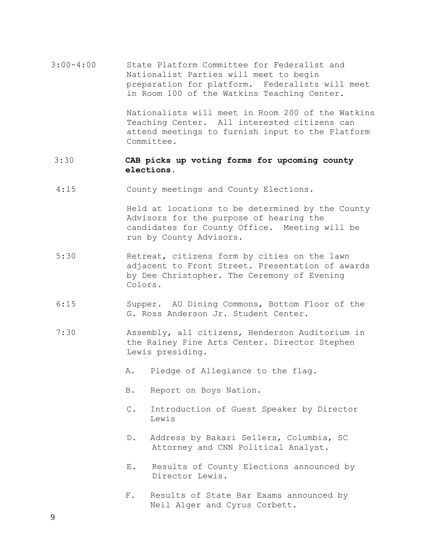3:00-4:00 State Platform Committee for Federalist and Nationalist Parties will meet to begin preparation for platform. Federalists will meet in Room 100 of the Watkins Teaching Center.

> Nationalists will meet in Room 200 of the Watkins Teaching Center. All interested citizens can attend meetings to furnish input to the Platform Committee.

## 3:30 **CAB picks up voting forms for upcoming county elections.**

4:15 County meetings and County Elections.

 Held at locations to be determined by the County Advisors for the purpose of hearing the candidates for County Office. Meeting will be run by County Advisors.

- 5:30 Retreat, citizens form by cities on the lawn adjacent to Front Street. Presentation of awards by Dee Christopher. The Ceremony of Evening Colors.
- 6:15 Supper. AU Dining Commons, Bottom Floor of the G. Ross Anderson Jr. Student Center.
- 7:30 Assembly, all citizens, Henderson Auditorium in the Rainey Fine Arts Center. Director Stephen Lewis presiding.
	- A. Pledge of Allegiance to the flag.
	- B. Report on Boys Nation.
	- C. Introduction of Guest Speaker by Director Lewis
	- D. Address by Bakari Sellers, Columbia, SC Attorney and CNN Political Analyst.
	- E. Results of County Elections announced by Director Lewis.
	- F. Results of State Bar Exams announced by Neil Alger and Cyrus Corbett.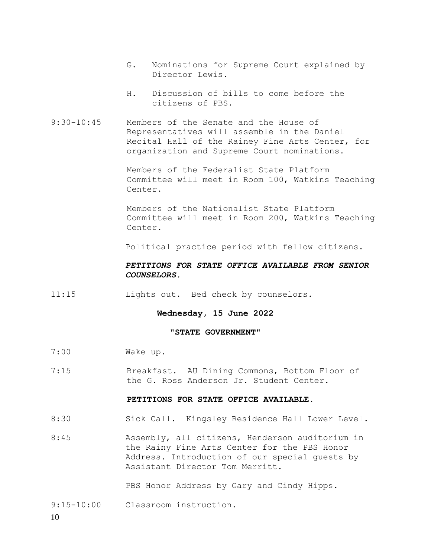- G. Nominations for Supreme Court explained by Director Lewis.
- H. Discussion of bills to come before the citizens of PBS.
- 9:30-10:45 Members of the Senate and the House of Representatives will assemble in the Daniel Recital Hall of the Rainey Fine Arts Center, for organization and Supreme Court nominations.

Members of the Federalist State Platform Committee will meet in Room 100, Watkins Teaching Center.

Members of the Nationalist State Platform Committee will meet in Room 200, Watkins Teaching Center.

Political practice period with fellow citizens.

### *PETITIONS FOR STATE OFFICE AVAILABLE FROM SENIOR COUNSELORS.*

11:15 Lights out. Bed check by counselors.

**Wednesday, 15 June 2022**

### **"STATE GOVERNMENT"**

- 7:00 Wake up.
- 7:15 Breakfast. AU Dining Commons, Bottom Floor of the G. Ross Anderson Jr. Student Center.

### **PETITIONS FOR STATE OFFICE AVAILABLE**.

- 8:30 Sick Call. Kingsley Residence Hall Lower Level.
- 8:45 Assembly, all citizens, Henderson auditorium in the Rainy Fine Arts Center for the PBS Honor Address. Introduction of our special guests by Assistant Director Tom Merritt.

PBS Honor Address by Gary and Cindy Hipps.

9:15-10:00 Classroom instruction.

10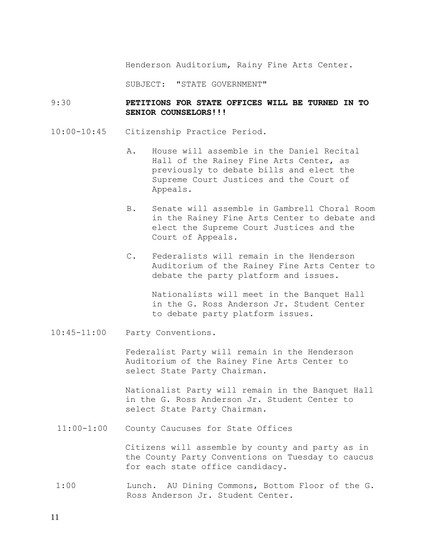Henderson Auditorium, Rainy Fine Arts Center.

SUBJECT: "STATE GOVERNMENT"

## 9:30 **PETITIONS FOR STATE OFFICES WILL BE TURNED IN TO SENIOR COUNSELORS!!!**

- 10:00-10:45 Citizenship Practice Period.
	- A. House will assemble in the Daniel Recital Hall of the Rainey Fine Arts Center, as previously to debate bills and elect the Supreme Court Justices and the Court of Appeals.
	- B. Senate will assemble in Gambrell Choral Room in the Rainey Fine Arts Center to debate and elect the Supreme Court Justices and the Court of Appeals.
	- C. Federalists will remain in the Henderson Auditorium of the Rainey Fine Arts Center to debate the party platform and issues.

Nationalists will meet in the Banquet Hall in the G. Ross Anderson Jr. Student Center to debate party platform issues.

10:45-11:00 Party Conventions.

Federalist Party will remain in the Henderson Auditorium of the Rainey Fine Arts Center to select State Party Chairman.

Nationalist Party will remain in the Banquet Hall in the G. Ross Anderson Jr. Student Center to select State Party Chairman.

11:00-1:00 County Caucuses for State Offices

Citizens will assemble by county and party as in the County Party Conventions on Tuesday to caucus for each state office candidacy.

1:00 Lunch. AU Dining Commons, Bottom Floor of the G. Ross Anderson Jr. Student Center.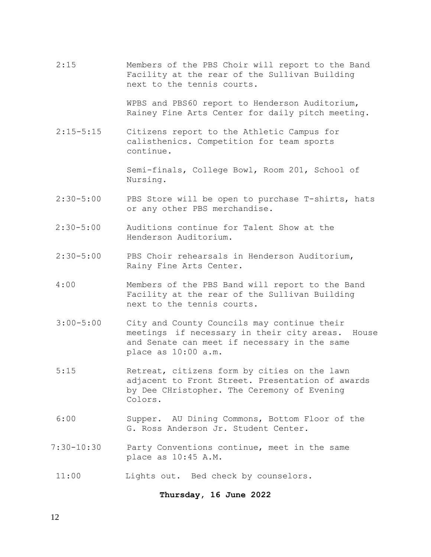2:15 Members of the PBS Choir will report to the Band Facility at the rear of the Sullivan Building next to the tennis courts.

> WPBS and PBS60 report to Henderson Auditorium, Rainey Fine Arts Center for daily pitch meeting.

2:15-5:15 Citizens report to the Athletic Campus for calisthenics. Competition for team sports continue.

> Semi-finals, College Bowl, Room 201, School of Nursing.

- 2:30-5:00 PBS Store will be open to purchase T-shirts, hats or any other PBS merchandise.
- 2:30-5:00 Auditions continue for Talent Show at the Henderson Auditorium.
- 2:30-5:00 PBS Choir rehearsals in Henderson Auditorium, Rainy Fine Arts Center.
- 4:00 Members of the PBS Band will report to the Band Facility at the rear of the Sullivan Building next to the tennis courts.
- 3:00-5:00 City and County Councils may continue their meetings if necessary in their city areas. House and Senate can meet if necessary in the same place as 10:00 a.m.
- 5:15 Retreat, citizens form by cities on the lawn adjacent to Front Street. Presentation of awards by Dee CHristopher. The Ceremony of Evening Colors.
- 6:00 Supper. AU Dining Commons, Bottom Floor of the G. Ross Anderson Jr. Student Center.
- 7:30-10:30 Party Conventions continue, meet in the same place as 10:45 A.M.
- 11:00 Lights out. Bed check by counselors.

**Thursday, 16 June 2022**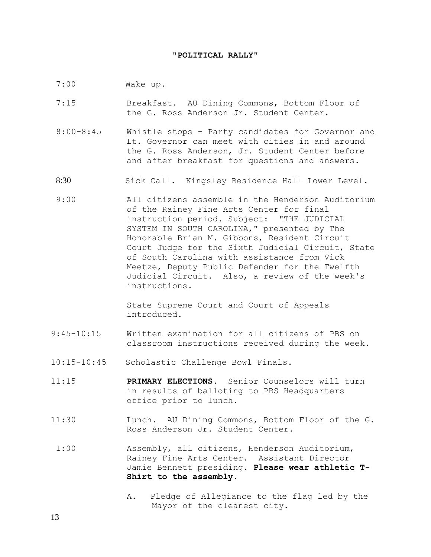### **"POLITICAL RALLY"**

- 7:00 Wake up.
- 7:15 Breakfast. AU Dining Commons, Bottom Floor of the G. Ross Anderson Jr. Student Center.
- 8:00-8:45 Whistle stops Party candidates for Governor and Lt. Governor can meet with cities in and around the G. Ross Anderson, Jr. Student Center before and after breakfast for questions and answers.
- 8:30 Sick Call. Kingsley Residence Hall Lower Level.
- 9:00 All citizens assemble in the Henderson Auditorium of the Rainey Fine Arts Center for final instruction period. Subject: "THE JUDICIAL SYSTEM IN SOUTH CAROLINA," presented by The Honorable Brian M. Gibbons, Resident Circuit Court Judge for the Sixth Judicial Circuit, State of South Carolina with assistance from Vick Meetze, Deputy Public Defender for the Twelfth Judicial Circuit. Also, a review of the week's instructions.

State Supreme Court and Court of Appeals introduced.

- 9:45-10:15 Written examination for all citizens of PBS on classroom instructions received during the week.
- 10:15-10:45 Scholastic Challenge Bowl Finals.
- 11:15 **PRIMARY ELECTIONS.** Senior Counselors will turn in results of balloting to PBS Headquarters office prior to lunch.
- 11:30 Lunch. AU Dining Commons, Bottom Floor of the G. Ross Anderson Jr. Student Center.
- 1:00 Assembly, all citizens, Henderson Auditorium, Rainey Fine Arts Center. Assistant Director Jamie Bennett presiding. **Please wear athletic T-Shirt to the assembly.** 
	- A. Pledge of Allegiance to the flag led by the Mayor of the cleanest city.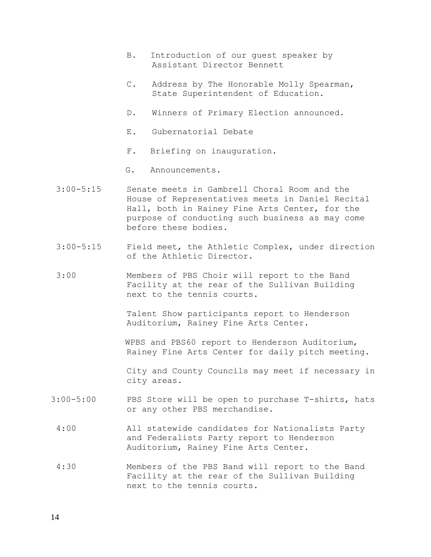- B. Introduction of our guest speaker by Assistant Director Bennett
- C. Address by The Honorable Molly Spearman, State Superintendent of Education.
- D. Winners of Primary Election announced.
- E. Gubernatorial Debate
- F. Briefing on inauguration.
- G. Announcements.
- 3:00-5:15 Senate meets in Gambrell Choral Room and the House of Representatives meets in Daniel Recital Hall, both in Rainey Fine Arts Center, for the purpose of conducting such business as may come before these bodies.
- 3:00-5:15 Field meet, the Athletic Complex, under direction of the Athletic Director.
- 3:00 Members of PBS Choir will report to the Band Facility at the rear of the Sullivan Building next to the tennis courts.

Talent Show participants report to Henderson Auditorium, Rainey Fine Arts Center.

WPBS and PBS60 report to Henderson Auditorium, Rainey Fine Arts Center for daily pitch meeting.

City and County Councils may meet if necessary in city areas.

- 3:00-5:00 PBS Store will be open to purchase T-shirts, hats or any other PBS merchandise.
- 4:00 All statewide candidates for Nationalists Party and Federalists Party report to Henderson Auditorium, Rainey Fine Arts Center.
- 4:30 Members of the PBS Band will report to the Band Facility at the rear of the Sullivan Building next to the tennis courts.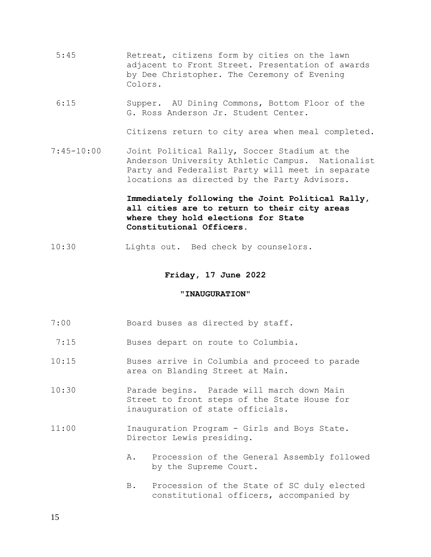- 5:45 Retreat, citizens form by cities on the lawn adjacent to Front Street. Presentation of awards by Dee Christopher. The Ceremony of Evening Colors.
- 6:15 Supper. AU Dining Commons, Bottom Floor of the G. Ross Anderson Jr. Student Center.

Citizens return to city area when meal completed.

7:45-10:00 Joint Political Rally, Soccer Stadium at the Anderson University Athletic Campus. Nationalist Party and Federalist Party will meet in separate locations as directed by the Party Advisors.

## **Immediately following the Joint Political Rally, all cities are to return to their city areas where they hold elections for State Constitutional Officers.**

10:30 Lights out. Bed check by counselors.

### **Friday, 17 June 2022**

### **"INAUGURATION"**

- 7:00 Board buses as directed by staff.
- 7:15 Buses depart on route to Columbia.
- 10:15 Buses arrive in Columbia and proceed to parade area on Blanding Street at Main.
- 10:30 Parade begins. Parade will march down Main Street to front steps of the State House for inauguration of state officials.
- 11:00 Inauguration Program Girls and Boys State. Director Lewis presiding.
	- A. Procession of the General Assembly followed by the Supreme Court.
	- B. Procession of the State of SC duly elected constitutional officers, accompanied by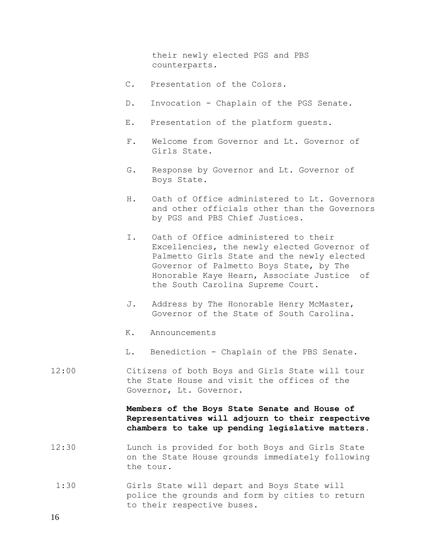their newly elected PGS and PBS counterparts.

- C. Presentation of the Colors.
- D. Invocation Chaplain of the PGS Senate.
- E. Presentation of the platform guests.
- F. Welcome from Governor and Lt. Governor of Girls State.
- G. Response by Governor and Lt. Governor of Boys State.
- H. Oath of Office administered to Lt. Governors and other officials other than the Governors by PGS and PBS Chief Justices.
- I. Oath of Office administered to their Excellencies, the newly elected Governor of Palmetto Girls State and the newly elected Governor of Palmetto Boys State, by The Honorable Kaye Hearn, Associate Justice of the South Carolina Supreme Court.
- J. Address by The Honorable Henry McMaster, Governor of the State of South Carolina.
- K. Announcements
- L. Benediction Chaplain of the PBS Senate.
- 12:00 Citizens of both Boys and Girls State will tour the State House and visit the offices of the Governor, Lt. Governor.

**Members of the Boys State Senate and House of Representatives will adjourn to their respective chambers to take up pending legislative matters.**

- 12:30 Lunch is provided for both Boys and Girls State on the State House grounds immediately following the tour.
- 1:30 Girls State will depart and Boys State will police the grounds and form by cities to return to their respective buses.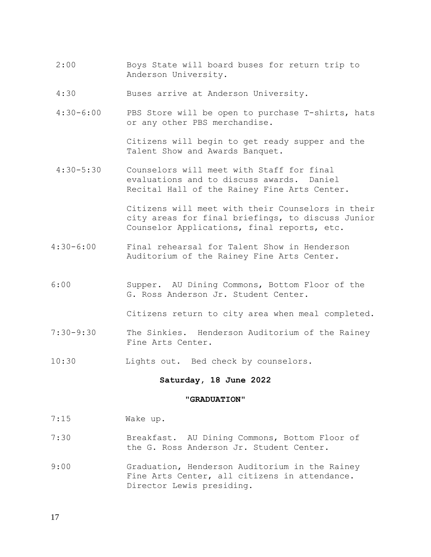- 2:00 Boys State will board buses for return trip to Anderson University.
- 4:30 Buses arrive at Anderson University.
- 4:30-6:00 PBS Store will be open to purchase T-shirts, hats or any other PBS merchandise.

Citizens will begin to get ready supper and the Talent Show and Awards Banquet.

4:30-5:30 Counselors will meet with Staff for final evaluations and to discuss awards. Daniel Recital Hall of the Rainey Fine Arts Center.

> Citizens will meet with their Counselors in their city areas for final briefings, to discuss Junior Counselor Applications, final reports, etc.

- 4:30-6:00 Final rehearsal for Talent Show in Henderson Auditorium of the Rainey Fine Arts Center.
- 6:00 Supper. AU Dining Commons, Bottom Floor of the G. Ross Anderson Jr. Student Center.

Citizens return to city area when meal completed.

- 7:30-9:30 The Sinkies. Henderson Auditorium of the Rainey Fine Arts Center.
- 10:30 Lights out. Bed check by counselors.

### **Saturday, 18 June 2022**

#### **"GRADUATION"**

- 7:15 Wake up.
- 7:30 Breakfast. AU Dining Commons, Bottom Floor of the G. Ross Anderson Jr. Student Center.
- 9:00 Graduation, Henderson Auditorium in the Rainey Fine Arts Center, all citizens in attendance. Director Lewis presiding.